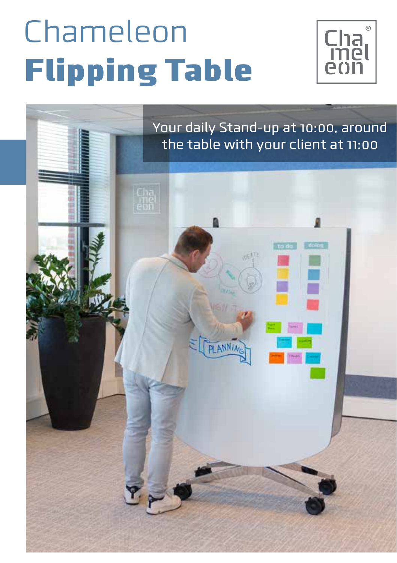# Chameleon Flipping Table



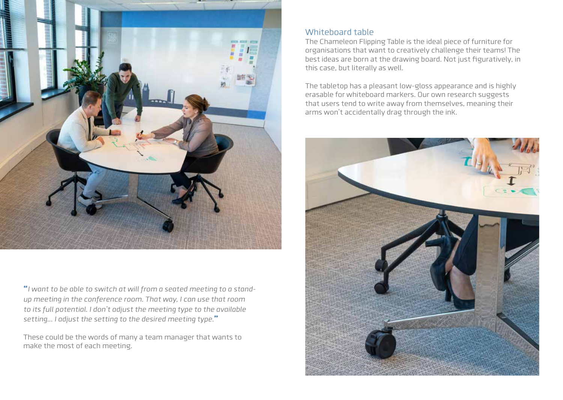

**"***I want to be able to switch at will from a seated meeting to a standup meeting in the conference room. That way, I can use that room to its full potential. I don't adjust the meeting type to the available setting... I adjust the setting to the desired meeting type.***"**

These could be the words of many a team manager that wants to make the most of each meeting.

#### Whiteboard table

The Chameleon Flipping Table is the ideal piece of furniture for organisations that want to creatively challenge their teams! The best ideas are born at the drawing board. Not just figuratively, in this case, but literally as well.

The tabletop has a pleasant low-gloss appearance and is highly erasable for whiteboard markers. Our own research suggests that users tend to write away from themselves, meaning their arms won't accidentally drag through the ink.

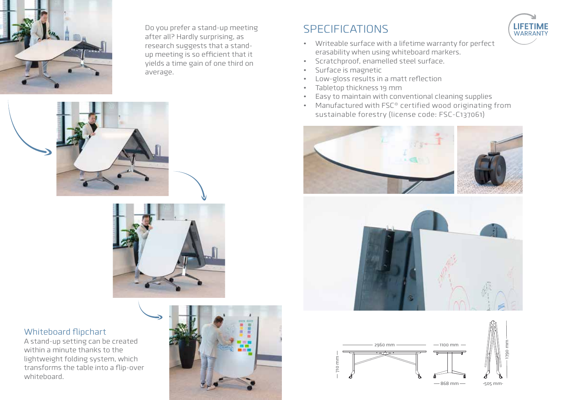

Do you prefer a stand-up meeting after all? Hardly surprising, as research suggests that a standup meeting is so efficient that it yields a time gain of one third on average.





#### Whiteboard flipchart

A stand-up setting can be created within a minute thanks to the lightweight folding system, which transforms the table into a flip-over whiteboard.



### **SPECIFICATIONS**



- Writeable surface with a lifetime warranty for perfect erasability when using whiteboard markers.
- Scratchproof, enamelled steel surface.
- Surface is magnetic
- Low-gloss results in a matt reflection
- Tabletop thickness 19 mm
- Easy to maintain with conventional cleaning supplies
- Manufactured with FSC® certified wood originating from sustainable forestry (license code: FSC-C137061)